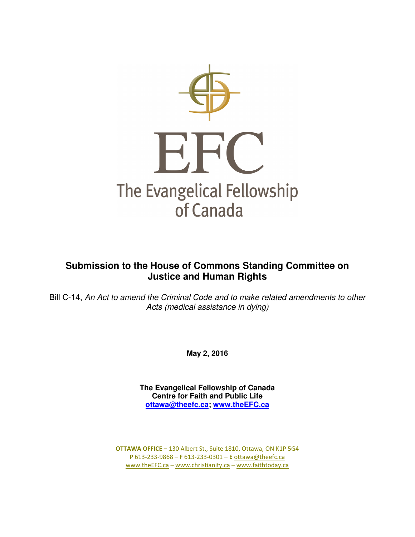

# **Submission to the House of Commons Standing Committee on Justice and Human Rights**

Bill C-14, An Act to amend the Criminal Code and to make related amendments to other Acts (medical assistance in dying)

**May 2, 2016** 

**The Evangelical Fellowship of Canada Centre for Faith and Public Life ottawa@theefc.ca; www.theEFC.ca**

OTTAWA OFFICE – 130 Albert St., Suite 1810, Ottawa, ON K1P 5G4 P 613-233-9868 – F 613-233-0301 – E ottawa@theefc.ca www.theEFC.ca – www.christianity.ca – www.faithtoday.ca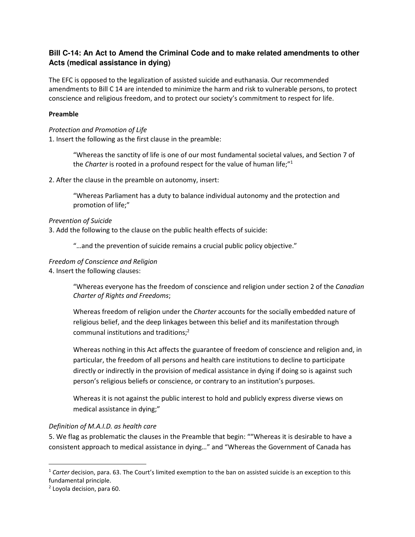# **Bill C-14: An Act to Amend the Criminal Code and to make related amendments to other Acts (medical assistance in dying)**

The EFC is opposed to the legalization of assisted suicide and euthanasia. Our recommended amendments to Bill C 14 are intended to minimize the harm and risk to vulnerable persons, to protect conscience and religious freedom, and to protect our society's commitment to respect for life.

### Preamble

#### Protection and Promotion of Life

1. Insert the following as the first clause in the preamble:

"Whereas the sanctity of life is one of our most fundamental societal values, and Section 7 of the Charter is rooted in a profound respect for the value of human life; $"1$ 

2. After the clause in the preamble on autonomy, insert:

"Whereas Parliament has a duty to balance individual autonomy and the protection and promotion of life;"

#### Prevention of Suicide

3. Add the following to the clause on the public health effects of suicide:

"…and the prevention of suicide remains a crucial public policy objective."

#### Freedom of Conscience and Religion

4. Insert the following clauses:

"Whereas everyone has the freedom of conscience and religion under section 2 of the Canadian Charter of Rights and Freedoms;

Whereas freedom of religion under the *Charter* accounts for the socially embedded nature of religious belief, and the deep linkages between this belief and its manifestation through communal institutions and traditions; $<sup>2</sup>$ </sup>

Whereas nothing in this Act affects the guarantee of freedom of conscience and religion and, in particular, the freedom of all persons and health care institutions to decline to participate directly or indirectly in the provision of medical assistance in dying if doing so is against such person's religious beliefs or conscience, or contrary to an institution's purposes.

Whereas it is not against the public interest to hold and publicly express diverse views on medical assistance in dying;"

# Definition of M.A.I.D. as health care

5. We flag as problematic the clauses in the Preamble that begin: ""Whereas it is desirable to have a consistent approach to medical assistance in dying…" and "Whereas the Government of Canada has

 $\overline{a}$ 

 $1$  Carter decision, para. 63. The Court's limited exemption to the ban on assisted suicide is an exception to this fundamental principle.

<sup>2</sup> Loyola decision, para 60.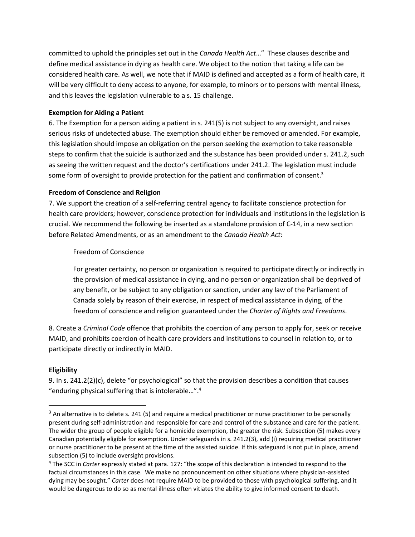committed to uphold the principles set out in the Canada Health Act…"  These clauses describe and define medical assistance in dying as health care. We object to the notion that taking a life can be considered health care. As well, we note that if MAID is defined and accepted as a form of health care, it will be very difficult to deny access to anyone, for example, to minors or to persons with mental illness, and this leaves the legislation vulnerable to a s. 15 challenge.

#### Exemption for Aiding a Patient

6. The Exemption for a person aiding a patient in s. 241(5) is not subject to any oversight, and raises serious risks of undetected abuse. The exemption should either be removed or amended. For example, this legislation should impose an obligation on the person seeking the exemption to take reasonable steps to confirm that the suicide is authorized and the substance has been provided under s. 241.2, such as seeing the written request and the doctor's certifications under 241.2. The legislation must include some form of oversight to provide protection for the patient and confirmation of consent.<sup>3</sup>

#### Freedom of Conscience and Religion

7. We support the creation of a self-referring central agency to facilitate conscience protection for health care providers; however, conscience protection for individuals and institutions in the legislation is crucial. We recommend the following be inserted as a standalone provision of C-14, in a new section before Related Amendments, or as an amendment to the Canada Health Act:

#### Freedom of Conscience

For greater certainty, no person or organization is required to participate directly or indirectly in the provision of medical assistance in dying, and no person or organization shall be deprived of any benefit, or be subject to any obligation or sanction, under any law of the Parliament of Canada solely by reason of their exercise, in respect of medical assistance in dying, of the freedom of conscience and religion guaranteed under the Charter of Rights and Freedoms.

8. Create a Criminal Code offence that prohibits the coercion of any person to apply for, seek or receive MAID, and prohibits coercion of health care providers and institutions to counsel in relation to, or to participate directly or indirectly in MAID.

# **Eligibility**

9. In s. 241.2(2)(c), delete "or psychological" so that the provision describes a condition that causes "enduring physical suffering that is intolerable…".<sup>4</sup>

 $3$  An alternative is to delete s. 241 (5) and require a medical practitioner or nurse practitioner to be personally present during self-administration and responsible for care and control of the substance and care for the patient. The wider the group of people eligible for a homicide exemption, the greater the risk. Subsection (5) makes every Canadian potentially eligible for exemption. Under safeguards in s. 241.2(3), add (i) requiring medical practitioner or nurse practitioner to be present at the time of the assisted suicide. If this safeguard is not put in place, amend subsection (5) to include oversight provisions.

<sup>&</sup>lt;sup>4</sup> The SCC in Carter expressly stated at para. 127: "the scope of this declaration is intended to respond to the factual circumstances in this case. We make no pronouncement on other situations where physician-assisted dying may be sought." Carter does not require MAID to be provided to those with psychological suffering, and it would be dangerous to do so as mental illness often vitiates the ability to give informed consent to death.